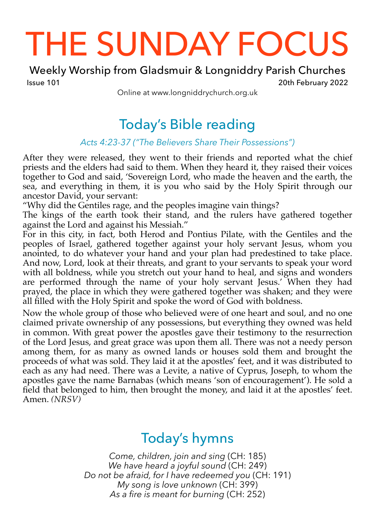# THE SUNDAY FOCUS

Weekly Worship from Gladsmuir & Longniddry Parish Churches Issue 101 20th February 2022

Online at www.longniddrychurch.org.uk

## Today's Bible reading

## *Acts 4:23-37 ("The Believers Share Their Possessions")*

After they were released, they went to their friends and reported what the chief priests and the elders had said to them. When they heard it, they raised their voices together to God and said, 'Sovereign Lord, who made the heaven and the earth, the sea, and everything in them, it is you who said by the Holy Spirit through our ancestor David, your servant:

"Why did the Gentiles rage, and the peoples imagine vain things?

The kings of the earth took their stand, and the rulers have gathered together against the Lord and against his Messiah."

For in this city, in fact, both Herod and Pontius Pilate, with the Gentiles and the peoples of Israel, gathered together against your holy servant Jesus, whom you anointed, to do whatever your hand and your plan had predestined to take place. And now, Lord, look at their threats, and grant to your servants to speak your word with all boldness, while you stretch out your hand to heal, and signs and wonders are performed through the name of your holy servant Jesus.' When they had prayed, the place in which they were gathered together was shaken; and they were all filled with the Holy Spirit and spoke the word of God with boldness.

Now the whole group of those who believed were of one heart and soul, and no one claimed private ownership of any possessions, but everything they owned was held in common. With great power the apostles gave their testimony to the resurrection of the Lord Jesus, and great grace was upon them all. There was not a needy person among them, for as many as owned lands or houses sold them and brought the proceeds of what was sold. They laid it at the apostles' feet, and it was distributed to each as any had need. There was a Levite, a native of Cyprus, Joseph, to whom the apostles gave the name Barnabas (which means 'son of encouragement'). He sold a field that belonged to him, then brought the money, and laid it at the apostles' feet. Amen. *(NRSV)*

## Today's hymns

*Come, children, join and sing* (CH: 185) *We have heard a joyful sound* (CH: 249) *Do not be afraid, for I have redeemed you* (CH: 191) *My song is love unknown* (CH: 399) *As a fire is meant for burning* (CH: 252)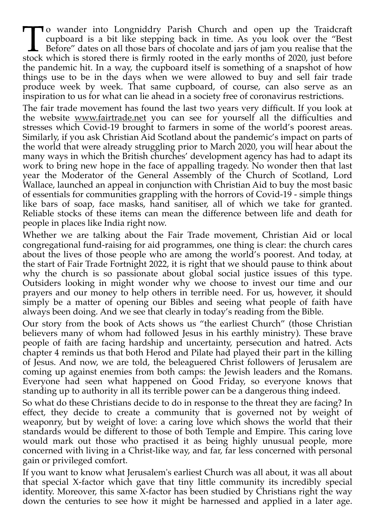To wander into Longniddry Parish Church and open up the Traidcraft cupboard is a bit like stepping back in time. As you look over the "Best Before" dates on all those bars of chocolate and jars of jam you realise that the stock which is stored there is firmly rooted in the early months of 2020, just before the pandemic hit. In a way, the cupboard itself is something of a snapshot of how things use to be in the days when we were allowed to buy and sell fair trade produce week by week. That same cupboard, of course, can also serve as an inspiration to us for what can lie ahead in a society free of coronavirus restrictions.

The fair trade movement has found the last two years very difficult. If you look at the website [www.fairtrade.net](http://www.fairtrade.net) you can see for yourself all the difficulties and stresses which Covid-19 brought to farmers in some of the world's poorest areas. Similarly, if you ask Christian Aid Scotland about the pandemic's impact on parts of the world that were already struggling prior to March 2020, you will hear about the many ways in which the British churches' development agency has had to adapt its work to bring new hope in the face of appalling tragedy. No wonder then that last year the Moderator of the General Assembly of the Church of Scotland, Lord Wallace, launched an appeal in conjunction with Christian Aid to buy the most basic of essentials for communities grappling with the horrors of Covid-19 - simple things like bars of soap, face masks, hand sanitiser, all of which we take for granted. Reliable stocks of these items can mean the difference between life and death for people in places like India right now.

Whether we are talking about the Fair Trade movement, Christian Aid or local congregational fund-raising for aid programmes, one thing is clear: the church cares about the lives of those people who are among the world's poorest. And today, at the start of Fair Trade Fortnight 2022, it is right that we should pause to think about why the church is so passionate about global social justice issues of this type. Outsiders looking in might wonder why we choose to invest our time and our prayers and our money to help others in terrible need. For us, however, it should simply be a matter of opening our Bibles and seeing what people of faith have always been doing. And we see that clearly in today's reading from the Bible.

Our story from the book of Acts shows us "the earliest Church" (those Christian believers many of whom had followed Jesus in his earthly ministry). These brave people of faith are facing hardship and uncertainty, persecution and hatred. Acts chapter 4 reminds us that both Herod and Pilate had played their part in the killing of Jesus. And now, we are told, the beleaguered Christ followers of Jerusalem are coming up against enemies from both camps: the Jewish leaders and the Romans. Everyone had seen what happened on Good Friday, so everyone knows that standing up to authority in all its terrible power can be a dangerous thing indeed.

So what do these Christians decide to do in response to the threat they are facing? In effect, they decide to create a community that is governed not by weight of weaponry, but by weight of love: a caring love which shows the world that their standards would be different to those of both Temple and Empire. This caring love would mark out those who practised it as being highly unusual people, more concerned with living in a Christ-like way, and far, far less concerned with personal gain or privileged comfort.

If you want to know what Jerusalem's earliest Church was all about, it was all about that special X-factor which gave that tiny little community its incredibly special identity. Moreover, this same X-factor has been studied by Christians right the way down the centuries to see how it might be harnessed and applied in a later age.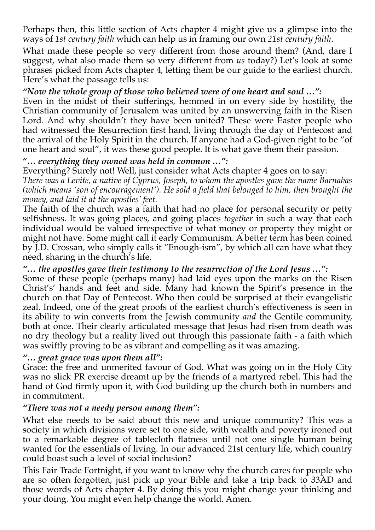Perhaps then, this little section of Acts chapter 4 might give us a glimpse into the ways of *1st century faith* which can help us in framing our own *21st century faith*.

What made these people so very different from those around them? (And, dare I suggest, what also made them so very different from *us* today?) Let's look at some phrases picked from Acts chapter 4, letting them be our guide to the earliest church. Here's what the passage tells us:

#### *"Now the whole group of those who believed were of one heart and soul …":*

Even in the midst of their sufferings, hemmed in on every side by hostility, the Christian community of Jerusalem was united by an unswerving faith in the Risen Lord. And why shouldn't they have been united? These were Easter people who had witnessed the Resurrection first hand, living through the day of Pentecost and the arrival of the Holy Spirit in the church. If anyone had a God-given right to be "of one heart and soul", it was these good people. It is what gave them their passion.

#### **"…** *everything they owned was held in common …":*

Everything? Surely not! Well, just consider what Acts chapter 4 goes on to say: *There was a Levite, a native of Cyprus, Joseph, to whom the apostles gave the name Barnabas (which means 'son of encouragement'). He sold a field that belonged to him, then brought the money, and laid it at the apostles' feet.*

The faith of the church was a faith that had no place for personal security or petty selfishness. It was going places, and going places *together* in such a way that each individual would be valued irrespective of what money or property they might or might not have. Some might call it early Communism. A better term has been coined by J.D. Crossan, who simply calls it "Enough-ism", by which all can have what they need, sharing in the church's life.

*"… the apostles gave their testimony to the resurrection of the Lord Jesus …":* Some of these people (perhaps many) had laid eyes upon the marks on the Risen Christ's' hands and feet and side. Many had known the Spirit's presence in the church on that Day of Pentecost. Who then could be surprised at their evangelistic zeal. Indeed, one of the great proofs of the earliest church's effectiveness is seen in its ability to win converts from the Jewish community *and* the Gentile community, both at once. Their clearly articulated message that Jesus had risen from death was no dry theology but a reality lived out through this passionate faith - a faith which was swiftly proving to be as vibrant and compelling as it was amazing.

#### *"… great grace was upon them all":*

Grace: the free and unmerited favour of God. What was going on in the Holy City was no slick PR exercise dreamt up by the friends of a martyred rebel. This had the hand of God firmly upon it, with God building up the church both in numbers and in commitment.

#### *"There was not a needy person among them":*

What else needs to be said about this new and unique community? This was a society in which divisions were set to one side, with wealth and poverty ironed out to a remarkable degree of tablecloth flatness until not one single human being wanted for the essentials of living. In our advanced 21st century life, which country could boast such a level of social inclusion?

This Fair Trade Fortnight, if you want to know why the church cares for people who are so often forgotten, just pick up your Bible and take a trip back to 33AD and those words of Acts chapter 4. By doing this you might change your thinking and your doing. You might even help change the world. Amen.